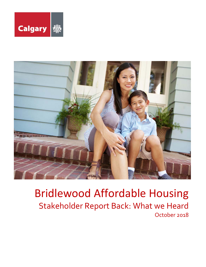



# Bridlewood Affordable Housing Stakeholder Report Back: What we Heard October 2018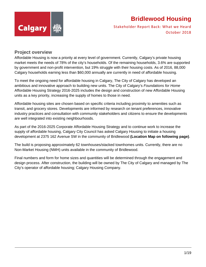

Stakeholder Report Back: What we Heard October 2018

### **Project overview**

Affordable Housing is now a priority at every level of government. Currently, Calgary's private housing market meets the needs of 78% of the city's households. Of the remaining households, 3.6% are supported by government and non-profit intervention, but 19% struggle with their housing costs. As of 2016, 88,000 Calgary households earning less than \$60,000 annually are currently in need of affordable housing.

To meet the ongoing need for affordable housing in Calgary, The City of Calgary has developed an ambitious and innovative approach to building new units. The City of Calgary's *Foundations for Home* Affordable Housing Strategy 2016-2025 includes the design and construction of new Affordable Housing units as a key priority, increasing the supply of homes to those in need.

Affordable housing sites are chosen based on specific criteria including proximity to amenities such as transit, and grocery stores. Developments are informed by research on tenant preferences, innovative industry practices and consultation with community stakeholders and citizens to ensure the developments are well integrated into existing neighbourhoods.

As part of the 2016-2025 Corporate Affordable Housing Strategy and to continue work to increase the supply of affordable housing, Calgary City Council has asked Calgary Housing to initiate a housing development at 2375 162 Avenue SW in the community of Bridlewood **(Location Map on following page)**.

The build is proposing approximately 62 townhouses/stacked townhomes units. Currently, there are no Non-Market Housing (NMH) units available in the community of Bridlewood.

Final numbers and form for home sizes and quantities will be determined through the engagement and design process. After construction, the building will be owned by The City of Calgary and managed by The City's operator of affordable housing; Calgary Housing Company.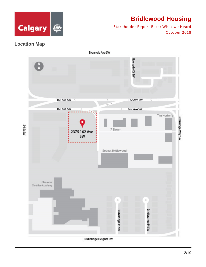

Stakeholder Report Back: What we Heard October 2018

### **Location Map**



**Bridleridge Heights SW**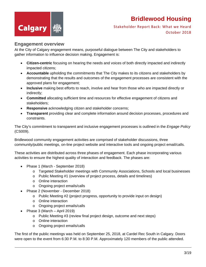

Stakeholder Report Back: What we Heard October 2018

### **Engagement overview**

At the City of Calgary engagement means, purposeful dialogue between The City and stakeholders to gather information to influence decision making. Engagement is:

- **Citizen-centric** focusing on hearing the needs and voices of both directly impacted and indirectly impacted citizens;
- **Accountable** upholding the commitments that The City makes to its citizens and stakeholders by demonstrating that the results and outcomes of the engagement processes are consistent with the approved plans for engagement;
- **Inclusive** making best efforts to reach, involve and hear from those who are impacted directly or indirectly;
- **Committed** allocating sufficient time and resources for effective engagement of citizens and stakeholders;
- **Responsive** acknowledging citizen and stakeholder concerns;
- **Transparent** providing clear and complete information around decision processes, procedures and constraints.

The City's commitment to transparent and inclusive engagement processes is outlined in the *Engage Policy* (CS009).

Bridlewood community engagement activities are comprised of stakeholder discussions, three community/public meetings, on-line project website and interactive tools and ongoing project email/calls.

These activities are distributed across three phases of engagement. Each phase incorporating various activities to ensure the highest quality of interaction and feedback. The phases are:

- Phase 1 (March September 2018)
	- o Targeted Stakeholder meetings with Community Associations, Schools and local businesses
	- o Public Meeting #1 (overview of project process, details and timelines)
	- o Online interaction
	- o Ongoing project emails/calls
- Phase 2 (November December 2018)
	- o Public Meeting #2 (project progress, opportunity to provide input on design)
	- o Online interaction
	- o Ongoing project emails/calls
- Phase 3 (March April 2019)
	- o Public Meeting #3 (review final project design, outcome and next steps)
	- o Online interaction
	- o Ongoing project emails/calls

The first of the public meetings was held on September 25, 2018, at Cardel Rec South in Calgary. Doors were open to the event from 6:30 P.M. to 8:30 P.M. Approximately 120 members of the public attended.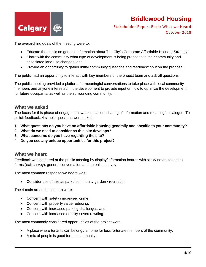

Stakeholder Report Back: What we Heard October 2018

The overarching goals of the meeting were to:

- Educate the public on general information about The City's Corporate Affordable Housing Strategy;
- Share with the community what type of development is being proposed in their community and associated land use changes; and
- Provide an opportunity to gather initial community questions and feedback/input on the proposal.

The public had an opportunity to interact with key members of the project team and ask all questions.

The public meeting provided a platform for meaningful conversations to take place with local community members and anyone interested in the development to provide input on how to optimize the development for future occupants, as well as the surrounding community.

### **What we asked**

The focus for this phase of engagement was education, sharing of information and meaningful dialogue. To solicit feedback, 4 simple questions were asked:

- **1. What questions do you have on affordable housing generally and specific to your community?**
- **2. What do we need to consider as this site develops?**
- **3. What concerns do you have regarding the site?**
- **4. Do you see any unique opportunities for this project?**

#### **What we heard**

Feedback was gathered at the public meeting by display/information boards with sticky notes, feedback forms (exit survey), general conversation and an online survey.

The most common response we heard was:

Consider use of site as park / community garden / recreation.

The 4 main areas for concern were:

- Concern with safety / increased crime;
- Concern with property value reducing;
- Concern with increased parking challenges; and
- Concern with increased density / overcrowding.

The most commonly considered opportunities of the project were:

- A place where tenants can belong / a home for less fortunate members of the community;
- A mix of people is good for the community;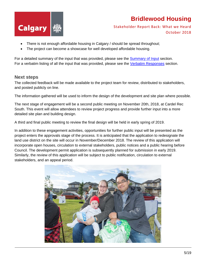



- There is not enough affordable housing in Calgary / should be spread throughout;
- The project can become a showcase for well developed affordable housing.

For a detailed summary of the input that was provided, please see the Summary of Input section. For a verbatim listing of all the input that was provided, please see the Verbatim Responses section.

#### **Next steps**

The collected feedback will be made available to the project team for review, distributed to stakeholders, and posted publicly on line.

The information gathered will be used to inform the design of the development and site plan where possible.

The next stage of engagement will be a second public meeting on November 20th, 2018, at Cardel Rec South. This event will allow attendees to review project progress and provide further input into a more detailed site plan and building design.

A third and final public meeting to review the final design will be held in early spring of 2019.

In addition to these engagement activities, opportunities for further public input will be presented as the project enters the approvals stage of the process. It is anticipated that the application to redesignate the land use district on the site will occur in November/December 2018. The review of this application will incorporate open houses, circulation to external stakeholders, public notices and a public hearing before Council. The development permit application is subsequently planned for submission in early 2019. Similarly, the review of this application will be subject to public notification, circulation to external stakeholders, and an appeal period.

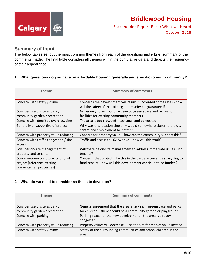

Stakeholder Report Back: What we Heard October 2018

### **Summary of Input**

The below tables set out the most common themes from each of the questions and a brief summary of the comments made. The final table considers all themes within the cumulative data and depicts the frequency of their appearance.

#### **1. What questions do you have on affordable housing generally and specific to your community?**

| <b>Theme</b>                           | <b>Summary of comments</b>                                               |
|----------------------------------------|--------------------------------------------------------------------------|
| Concern with safety / crime            | Concerns the development will result in increased crime rates - how      |
|                                        | will the safety of the existing community be guaranteed?                 |
| Consider use of site as park /         | Not enough playgrounds - develop green space and recreation              |
| community garden / recreation          | facilities for existing community members                                |
| Concern with density / overcrowding    | The area is too crowded $-$ too small and congested                      |
| Generally unsupportive of project      | Why was this location chosen $-$ would somewhere closer to the city      |
|                                        | centre and employment be better?                                         |
| Concern with property value reducing   | Concern for property value – how can the community support this?         |
| Concern with traffic congestion / site | Traffic and access to 162 Avenue – how will this work?                   |
| access                                 |                                                                          |
| Consider on-site management of         | Will there be on-site management to address immediate issues with        |
| property and tenants                   | tenants?                                                                 |
| Concern/query on future funding of     | Concerns that projects like this in the past are currently struggling to |
| project (reference existing            | fund repairs - how will this development continue to be funded?          |
| unmaintained properties)               |                                                                          |

#### **2. What do we need to consider as this site develops?**

| <b>Theme</b>                         | <b>Summary of comments</b>                                               |
|--------------------------------------|--------------------------------------------------------------------------|
| Consider use of site as park /       | General agreement that the area is lacking in greenspace and parks       |
| community garden / recreation        | for children - there should be a community garden or playground          |
| Concern with parking                 | Parking space for the new development - the area is already<br>congested |
| Concern with property value reducing | Property values will decrease - use the site for market value instead    |
| Concern with safety / crime          | Safety of the surrounding communities and school children in the<br>area |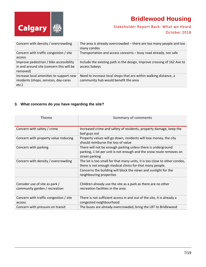

### Stakeholder Report Back: What we Heard October 2018

| Concern with density / overcrowding                                                             | The area is already overcrowded – there are too many people and too<br>many condos                       |
|-------------------------------------------------------------------------------------------------|----------------------------------------------------------------------------------------------------------|
| Concern with traffic congestion / site                                                          | Transportation and access concerns - busy road already, not safe                                         |
| access                                                                                          |                                                                                                          |
| Improve pedestrian / bike accessibility<br>in and around site (concern this will be<br>removed) | Include the existing path in the design, improve crossing of 162 Ave to<br>access Sobeys                 |
| Increase local amenities to support new<br>residents (shops, services, day-cares<br>$etc.$ )    | Need to increase local shops that are within walking distance, a<br>community hub would benefit the area |

### **3. What concerns do you have regarding the site?**

| <b>Theme</b>                                                    | <b>Summary of comments</b>                                                                                                                            |
|-----------------------------------------------------------------|-------------------------------------------------------------------------------------------------------------------------------------------------------|
| Concern with safety / crime                                     | Increased crime and safety of residents, property damage, keep the<br>bad guys out                                                                    |
| Concern with property value reducing                            | Property values will go down, residents will lose money, the city<br>should reimburse the loss of value                                               |
| Concern with parking                                            | There will not be enough parking unless there is underground<br>parking, 1 lot per unit is not enough and the snow route removes on<br>street parking |
| Concern with density / overcrowding                             | The lot is too small for that many units, it is too close to other condos,<br>there is not enough medical clinics for that many people.               |
|                                                                 | Concerns the building will block the views and sunlight for the<br>neighbouring properties                                                            |
| Consider use of site as park /<br>community garden / recreation | Children already use the site as a park as there are no other<br>recreation facilities in the area                                                    |
| Concern with traffic congestion / site<br>access                | There is not sufficient access in and out of the site, it is already a<br>congested neighbourhood                                                     |
| Concern with pressure on transit                                | The buses are already overcrowded, bring the LRT to Bridlewood                                                                                        |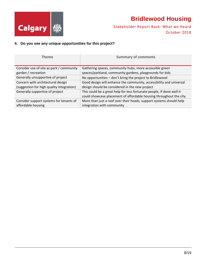

Stakeholder Report Back: What we Heard October 2018

### **4. Do you see any unique opportunities for this project?**

| Theme                                     | <b>Summary of comments</b>                                                                                                                  |
|-------------------------------------------|---------------------------------------------------------------------------------------------------------------------------------------------|
| Consider use of site as park / community  | Gathering spaces, community hubs, more accessible green                                                                                     |
| garden / recreation                       | spaces/parkland, community gardens, playgrounds for kids                                                                                    |
| Generally unsupportive of project         | No opportunities - don't bring the project to Bridlewood                                                                                    |
| Concern with architectural design         | Good design will enhance the community, accessibility and universal                                                                         |
| (suggestion for high quality integration) | design should be considered in the new project                                                                                              |
| Generally supportive of project           | This could be a great help for less fortunate people, if done well it<br>could showcase placement of affordable housing throughout the city |
| Consider support systems for tenants of   | More than just a roof over their heads, support systems should help                                                                         |
| affordable housing                        | integration with community                                                                                                                  |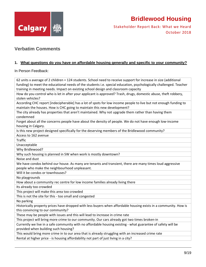

Stakeholder Report Back: What we Heard October 2018

### **Verbatim Comments**

#### **1. What questions do you have on affordable housing generally and specific to your community?**

In Person Feedback:

62 units x average of 2 children = 124 students. School need to receive support for increase in size (additional funding) to meet the educational needs of the students i.e. special education, psychologically challenged. Teacher training in meeting needs. Impact on existing school design and classroom capacity How do you control who is let in after your applicant is approved? Trash, drugs, domestic abuse, theft robbery, stolen vehicles? According CHC report [indecipherable] has a lot of spots for low income people to live but not enough funding to maintain the houses. How is CHC going to maintain this new development? The city already has properties that aren't maintained. Why not upgrade them rather than having them condemned Forget about all the concerns people have about the density of people. We do not have enough low‐income housing in Calgary. Is this new project designed specifically for the deserving members of the Bridlewood community? Access to 162 avenue Traffic Unacceptable Why Bridlewood? Why such housing is planned in SW when work is mostly downtown? Noise and dust We have condos behind our house. As many are tenants and transient, there are many times loud aggressive people who make the neighbourhood unpleasant. Will it be condos or townhouses? No playgrounds How about a community rec centre for low income families already living there Its already too crowded This project will make this area too crowded This is not the site for this ‐ too small and congested No parking Historically property prices have dropped with less buyers when affordable housing exists in a community. How is this convincing to our community? These may be people with issues and this will lead to increase in crime rate This project will bring more crime to our community. Our cars already got two times broken‐in Currently we live in a safe community with no affordable housing existing ‐ what guarantee of safety will be provided when building such housing? This would bring more crime in to our area that is already struggling with an increased crime rate Rental at higher price - is housing affordability not part of just living in a city?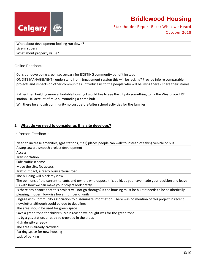



What about development looking run down? Live‐in super? What about property value?

#### Online Feedback:

Consider developing green space/park for EXISTING community benefit instead

ON SITE MANAGEMENT ‐ understand from Engagement session this will be lacking? Provide info re comparable projects and impacts on other communities. Introduce us to the people who will be living there ‐ share their stories

Rather then building more affordable housing I would like to see the city do something to fix the Westbrook LRT station. 10‐acre lot of mud surrounding a crime hub

Will there be enough community no cost before/after school activities for the families

#### **2. What do we need to consider as this site develops?**

In Person Feedback:

| Need to increase amenities, (gas stations, mall) places people can walk to instead of taking vehicle or bus          |  |
|----------------------------------------------------------------------------------------------------------------------|--|
| A step toward smooth project development                                                                             |  |
| Access                                                                                                               |  |
| Transportation                                                                                                       |  |
| Safe traffic scheme                                                                                                  |  |
| Move the site. No access                                                                                             |  |
| Traffic impact, already busy arterial road                                                                           |  |
| The building will block my view                                                                                      |  |
| The opinions of the current tenants and owners who oppose this build, as you have made your decision and leave       |  |
| us with how we can make your project look pretty.                                                                    |  |
| Is there any chance that this project will not go through? If the housing must be built it needs to be aesthetically |  |
| pleasing, modern low-rise lower number of units                                                                      |  |
| Engage with Community association to disseminate information. There was no mention of this project in recent         |  |
| newsletter although could be due to deadlines                                                                        |  |
| The area should be used for green space                                                                              |  |
| Save a green zone for children. Main reason we bought was for the green zone                                         |  |
| Its by a gas station, already so crowded in the areas                                                                |  |
| High density already                                                                                                 |  |
| The area is already crowded                                                                                          |  |
| Parking space for new housing                                                                                        |  |
| Lack of parking                                                                                                      |  |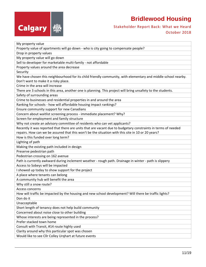

### Stakeholder Report Back: What we Heard October 2018

| My property value                                                                                                                                     |  |
|-------------------------------------------------------------------------------------------------------------------------------------------------------|--|
| Property value of apartments will go down - who is city going to compensate people?                                                                   |  |
| Drop in property values                                                                                                                               |  |
| My property value will go down                                                                                                                        |  |
| Sell to developer for marketable multi-family - not affordable                                                                                        |  |
| Property values around the area decrease                                                                                                              |  |
| Security                                                                                                                                              |  |
| We have chosen this neighbourhood for its child friendly community, with elementary and middle school nearby.<br>Don't want to make it a risky place. |  |
| Crime in the area will increase                                                                                                                       |  |
| There are 3 schools in this area, another one is planning. This project will bring unsafety to the students.                                          |  |
| Safety of surrounding areas                                                                                                                           |  |
| Crime to businesses and residential properties in and around the area                                                                                 |  |
| Ranking for schools - how will affordable housing impact rankings?                                                                                    |  |
| Ensure community support for new Canadians                                                                                                            |  |
| Concern about waitlist screening process - immediate placement? Why?                                                                                  |  |
| Screen for employment and family structure                                                                                                            |  |
| Why not create an advisory committee of residents who can vet applicants?                                                                             |  |
| Recently it was reported that there are units that are vacant due to budgetary constraints in terms of needed                                         |  |
| repairs. How can we be assured that this won't be the situation with this site in 10 or 20 years?                                                     |  |
| How is this funded over long term?                                                                                                                    |  |
| Lighting of path                                                                                                                                      |  |
| Making the existing path included in design                                                                                                           |  |
| Preserve pedestrian path                                                                                                                              |  |
| Pedestrian crossing on 162 avenue                                                                                                                     |  |
| Path is currently awkward during inclement weather - rough path. Drainage in winter - path is slippery                                                |  |
| Access to Sobeys will be impacted                                                                                                                     |  |
| I showed up today to show support for the project                                                                                                     |  |
| A place where tenants can belong                                                                                                                      |  |
| A community hub will benefit the area                                                                                                                 |  |
| Why still a snow route?                                                                                                                               |  |
| Access concerns                                                                                                                                       |  |
| How will traffic be impacted by the housing and new school development? Will there be traffic lights?                                                 |  |
| Don do it                                                                                                                                             |  |
| Unacceptable                                                                                                                                          |  |
| Short length of tenancy does not help build community                                                                                                 |  |
| Concerned about noise close to other building                                                                                                         |  |
| Whose interests are being represented in the process?                                                                                                 |  |
| Prefer stacked town home                                                                                                                              |  |
| Consult with Transit, #14 route highly used                                                                                                           |  |
| Clarity around why this particular spot was chosen                                                                                                    |  |
| Would like to see Cllr Colley Urghart at future events                                                                                                |  |
|                                                                                                                                                       |  |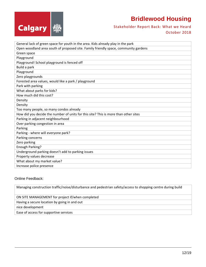



| General lack of green space for youth in the area. Kids already play in the park    |  |
|-------------------------------------------------------------------------------------|--|
| Open woodland area south of proposed site. Family friendly space, community gardens |  |
| Green space                                                                         |  |
| Playground                                                                          |  |
| Playground! School playground is fenced off                                         |  |
| Build a park                                                                        |  |
| Playground                                                                          |  |
| Zero playgrounds                                                                    |  |
| Forested area values, would like a park / playground                                |  |
| Park with parking                                                                   |  |
| What about parks for kids?                                                          |  |
| How much did this cost?                                                             |  |
| Density                                                                             |  |
| Density                                                                             |  |
| Too many people, so many condos already                                             |  |
| How did you decide the number of units for this site? This is more than other sites |  |
| Parking in adjacent neighbourhood                                                   |  |
| Over parking congestion in area                                                     |  |
| Parking                                                                             |  |
| Parking - where will everyone park?                                                 |  |
| Parking concerns                                                                    |  |
| Zero parking                                                                        |  |
| <b>Enough Parking?</b>                                                              |  |
| Underground parking doesn't add to parking issues                                   |  |
| Property values decrease                                                            |  |
| What about my market value?                                                         |  |
| Increase police presence                                                            |  |

#### Online Feedback:

Managing construction traffic/noise/disturbance and pedestrian safety/access to shopping centre during build

#### ON SITE MANAGEMENT for project if/when completed

Having a secure location by going in and out

nice development

Ease of access for supportive services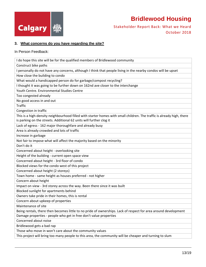

Stakeholder Report Back: What we Heard October 2018

### **3. What concerns do you have regarding the site?**

In Person Feedback:

| I do hope this site will be for the qualified members of Bridlewood community                                                                                                                 |  |
|-----------------------------------------------------------------------------------------------------------------------------------------------------------------------------------------------|--|
| Construct bike paths                                                                                                                                                                          |  |
| I personally do not have any concerns, although I think that people living in the nearby condos will be upset                                                                                 |  |
| How close the building to condo                                                                                                                                                               |  |
| What would a handicapped person do for garbage/compost recycling?                                                                                                                             |  |
| I thought it was going to be further down on 162nd ave closer to the interchange                                                                                                              |  |
| Youth Centre. Environmental Studies Centre                                                                                                                                                    |  |
| Too congested already                                                                                                                                                                         |  |
| No good access in and out                                                                                                                                                                     |  |
| <b>Traffic</b>                                                                                                                                                                                |  |
| Congestion in traffic                                                                                                                                                                         |  |
| This is a high-density neighbourhood filled with starter homes with small children. The traffic is already high, there<br>is parking on the streets. Additional 62 units will further clog it |  |
| Lack of egress - 162 major thoroughfare and already busy                                                                                                                                      |  |
| Area is already crowded and lots of traffic                                                                                                                                                   |  |
| Increase in garbage                                                                                                                                                                           |  |
| Not fair to impose what will affect the majority based on the minority                                                                                                                        |  |
| Don't do it                                                                                                                                                                                   |  |
| Concerned about height - overlooking site                                                                                                                                                     |  |
| Height of the building - current open space view                                                                                                                                              |  |
| Concerned about height - 3rd floor of condo                                                                                                                                                   |  |
| Blocked views for the condo west of this project                                                                                                                                              |  |
| Concerned about height (2 storeys)                                                                                                                                                            |  |
| Town home - same height as houses preferred - not higher                                                                                                                                      |  |
| Concern about height                                                                                                                                                                          |  |
| Impact on view - 3rd storey across the way. Been there since it was built                                                                                                                     |  |
| Blocked sunlight for apartments behind                                                                                                                                                        |  |
| Owners take pride in their homes, this is rental                                                                                                                                              |  |
| Concern about upkeep of properties                                                                                                                                                            |  |
| Maintenance of site                                                                                                                                                                           |  |
| Being rentals, there then becomes little to no pride of ownerships. Lack of respect for area around development                                                                               |  |
| Damage properties - people who get in free don't value properties                                                                                                                             |  |
| Concerned about noise                                                                                                                                                                         |  |
| Bridlewood gets a bad rap                                                                                                                                                                     |  |
| Those who move in won't care about the community values                                                                                                                                       |  |
| This project will bring too many people to this area, the community will be cheaper and turning to slum                                                                                       |  |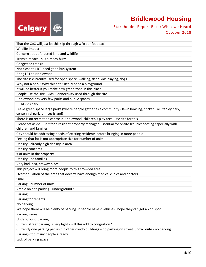

Stakeholder Report Back: What we Heard October 2018

| That the CoC will just let this slip through w/o our feedback                                                                                    |  |
|--------------------------------------------------------------------------------------------------------------------------------------------------|--|
| Wildlife impact                                                                                                                                  |  |
| Concern about forested land and wildlife                                                                                                         |  |
| Transit impact - bus already busy                                                                                                                |  |
| Congested transit                                                                                                                                |  |
| Not close to LRT, need good bus system                                                                                                           |  |
| Bring LRT to Bridlewood                                                                                                                          |  |
| The site is currently used for open space, walking, deer, kids playing, dogs                                                                     |  |
| Why not a park? Why this site? Really need a playground                                                                                          |  |
| It will be better if you make new green zone in this place                                                                                       |  |
| People use the site - kids. Connectivity used through the site                                                                                   |  |
| Bridlewood has very few parks and public spaces                                                                                                  |  |
| Build kids park                                                                                                                                  |  |
| Leave green space large parks (where people gather as a community - lawn bowling, cricket like Stanley park,<br>centennial park, princes island) |  |
| There is no recreation centre in Bridlewood, children's play area. Use site for this                                                             |  |
| Please set aside 1 unit for a resident property manager. Essential for onsite troubleshooting especially with<br>children and families           |  |
| City should be addressing needs of existing residents before bringing in more people                                                             |  |
| Feeling that lot is not appropriate size for number of units                                                                                     |  |
| Density - already high density in area                                                                                                           |  |
| Density concerns                                                                                                                                 |  |
| # of units in the property                                                                                                                       |  |
| Density - no families                                                                                                                            |  |
| Very bad idea, crowdy place                                                                                                                      |  |
| This project will bring more people to this crowded area                                                                                         |  |
| Overpopulation of the area that doesn't have enough medical clinics and doctors                                                                  |  |
| Small                                                                                                                                            |  |
| Parking - number of units                                                                                                                        |  |
| Ample on-site parking - underground?                                                                                                             |  |
| Parking                                                                                                                                          |  |
| Parking for tenants                                                                                                                              |  |
| No parking                                                                                                                                       |  |
| We hope there will be plenty of parking. If people have 2 vehicles I hope they can get a 2nd spot                                                |  |
| Parking issues                                                                                                                                   |  |
| Underground parking                                                                                                                              |  |
| Current street parking is very tight - will this add to congestion?                                                                              |  |
| Currently one parking per unit in other condo buildings = no parking on street. Snow route - no parking                                          |  |
| Parking - too many people already                                                                                                                |  |
| Lack of parking space                                                                                                                            |  |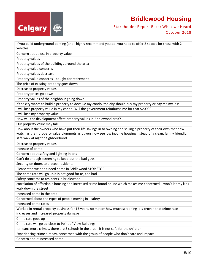

### Stakeholder Report Back: What we Heard October 2018

If you build underground parking (and I highly recommend you do) you need to offer 2 spaces for those with 2 vehicles

Concern about loss in property value

Property values

Property values of the buildings around the area

Property value concerns

Property values decrease

Property value concerns ‐ bought for retirement

The price of existing property goes down

Decreased property values

Property prices go down

Property values of the neighbour going down

If the city wants to build a property to devalue my condo, the city should buy my property or pay me my loss I will lose property value in my condo. Will the government reimburse me for that \$20000

I will lose my property value

How will the development affect property values in Bridlewood area?

Our property value may fall.

How about the owners who have put their life savings in to owning and selling a property of their own that now watch as their property value plummets as buyers now see low income housing instead of a clean, family friendly, safe walk at night neighbourhood

Decreased property values

Increase of crime

Concern about safety and lighting in lots

Can't do enough screening to keep out the bad guys

Security on doors to protect residents

Please stop we don't need crime in Bridlewood STOP STOP

The crime rate will go up it is not good for us, too bad

Safety concerns to residents in bridlewood

correlation of affordable housing and increased crime found online which makes me concerned. I won't let my kids walk down the street

Increased crime in the area

Concerned about the types of people moving in ‐ safety

Increased crime rates

Worked in rental property business for 15 years, no matter how much screening it is proven that crime rate increases and increased property damage

Crime rate goes up

Crime rate will go up close to Point of View Buildings

It means more crimes, there are 3 schools in the area ‐ it is not safe for the children

Experiencing crime already, concerned with the group of people who don't care and impact

Concern about increased crime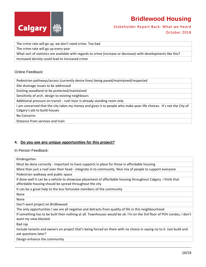



The crime rate will go up, we don't need crime. Too bad

The crime rate will go up every year

What sort of statistics are available with regards to crime (increase or decrease) with developments like this?

Increased density could lead to increased crime

#### Online Feedback:

Pedestrian pathways/access (currently desire lines) being paved/maintained/respected

Site drainage issues to be addressed

Existing woodland to be protected/maintained

Sensitivity of arch. design to existing neighbours

Additional pressure on transit ‐ rush hour is already standing room only

I am concerned that the city takes my money and gives it to people who make poor life choices. It's not the City of Calgary's job to build houses

No Concerns

Distance from services and train

#### **4. Do you see any unique opportunities for this project?**

#### In Person Feedback:

Kindergarten Must be done correctly - important to have supports in place for those in affordable housing More than just a roof over their head - integrate in to community. Nice mix of people to support everyone Pedestrian walkway and public space If done well it can be a vehicle to showcase placement of affordable housing throughout Calgary. I think that affordable housing should be spread throughout the city It can be a great help to the less fortunate members of the community None None Don't want project on Bridlewood The only opportunities I see are all negative and detracts from quality of life in this neighbourhood If something has to be built then nothing at all. Townhouses would be ok. I'm on the 3rd floor of POV condos, I don't want my view blocked Bad rap

Include tenants and owners on project that's being forced on them with no choice in saying no to it. Just build and ask questions later?

Design enhance the community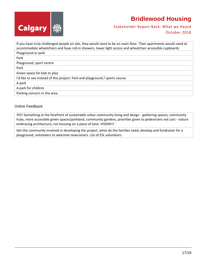



If you have truly challenged people on site, they would need to be on main floor. Their apartments would need to accommodate wheelchairs and have roll‐in showers, lower light access and wheelchair accessible cupboards Playground or park Park Playground, sport centre Park Green space for kids to play I'd like to see instead of this project: Park and playground / sports course A park A park for children Parking concern in the area

#### Online Feedback:

YES! Something at the forefront of sustainable urban community living and design ‐ gathering spaces, community hubs, more accessible green spaces/parkland, community gardens, priorities given to pedestrians not cars ‐ nature embracing architecture, not housing on a piece of land. VISION!!!

Get the community involved in developing the project..what do the families need, develop and fundraiser for a playground, volunteers to welcome newcomers. List of ESL volunteers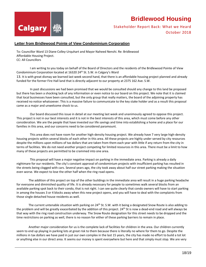

### Stakeholder Report Back: What we Heard October 2018

#### **Letter from Bridlewood Pointe of View Condominium Corporation**

To: Councillor Ward 13 Diane Colley‐Urquhart and Mayor Naheed Nenshi. Re: Bridlewood Affordable Housing Project. CC: All Councillors

I am writing to you today on behalf of the Board of Directors and the residents of the Bridlewood Pointe of View Condominium Corporation located at 16320 24<sup>th</sup> St. S.W. in Calgary's Ward 13. It is with great dismay we learned last week second hand, that there is an affordable housing project planned and already funded for the former Fire Hall land that is directly adjacent to our property at 2375 162 Ave. S.W.

In past discussions we had been promised that we would be consulted should any change to this land be proposed but there has been a shocking lack of any information or even notice to our board on this project. We note that it is claimed that local businesses have been consulted, but the only group that really matters, the board of the adjoining property has received no notice whatsoever. This is a massive failure to communicate to the key stake holder and as a result this proposal came as a major and unwelcome shock to us.

Our board discussed this issue in detail at our meeting last week and unanimously agreed to oppose this project. This project is not in our best interests and it is not in the best interests of this area, which must come before any other consideration. We are the people that have invested our life savings and time into establishing a home and a place for our families in this area, and our concerns need to be considered paramount.

This area does not have room for another high-density housing project. We already have 7 very large high-density housing projects within several blocks of each other in this area. All these projects are highly under served by city resources despite the millions upon millions of tax dollars that are taken from them each year with little if any return from the city in terms of facilities. We do not need another project competing for limited resources in this area. There must be a limit to how many of these projects are permitted to be crammed into one area.

This proposal will have a major negative impact on parking in the immediate area. Parking is already a daily nightmare for our residents. The city's constant approval of condominium projects with insufficient parking has resulted in the streets being clogged with cars. Several years ago, the city took away about half our street parking making the situation even worse. We expect to lose the other half when the ring road opens.

The addition of this project on top of the other buildings in the immediate area will result in a huge parking headache for everyone and diminished quality of life. It is already necessary for people to sometimes walk several blocks from an available parking spot back to their condo, that is not right. I can see quite clearly that condo owners will have to start parking in among the houses 3 or 4 blocks away when this new project opens, and you will have to deal with the complaints from those single detached house residents as well.

The current untenable situation with parking on  $24<sup>th</sup>$  St. S.W. with it being a designated Snow Route is also adding to the problem and will be greatly exacerbated by the addition of this project. 24<sup>th</sup> St is now a dead-end road and will always be that way with the ring road construction underway. The Snow Route designation for this street needs to be dropped and the time restrictions on parking as well, there is no reason for either of these parking barriers to remain in place.

Another major consideration for us is the complete lack of facilities for children in the area. Our children currently seem to end up playing in parking lots at great risk to them because there is literally no where for them to go. Despite the millions in tax dollars we have paid in just our own complex in the last 15 years, the city has made no effort to build a tot lot or anything else in our direct area. It seems our money is spent everywhere but here and that simply must stop. We are very